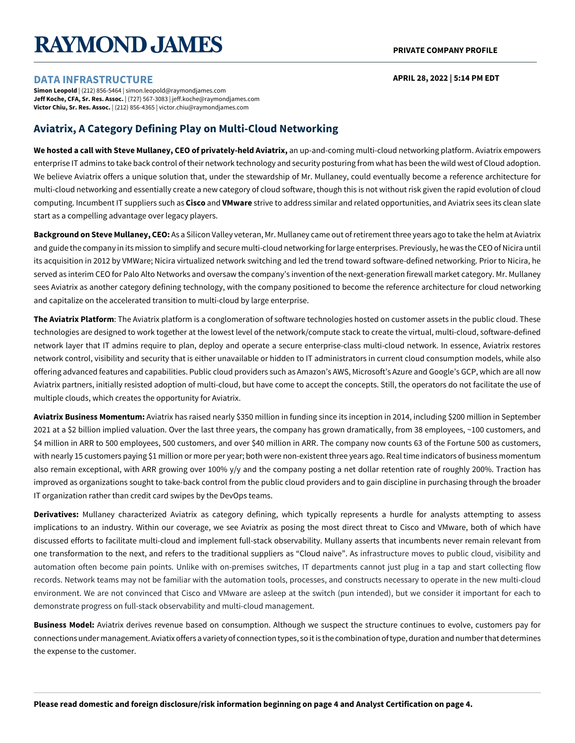# **RAYMOND JAMES**

#### **APRIL 28, 2022 | 5:14 PM EDT**

#### **DATA INFRASTRUCTURE**

**Simon Leopold** | (212) 856-5464 | simon.leopold@raymondjames.com **Jeff Koche, CFA, Sr. Res. Assoc.** | (727) 567-3083 | jeff.koche@raymondjames.com **Victor Chiu, Sr. Res. Assoc.** | (212) 856-4365 | victor.chiu@raymondjames.com

# **Aviatrix, A Category Defining Play on Multi-Cloud Networking**

**We hosted a call with Steve Mullaney, CEO of privately-held Aviatrix,** an up-and-coming multi-cloud networking platform. Aviatrix empowers enterprise IT admins to take back control of their network technology and security posturing from what has been the wild west of Cloud adoption. We believe Aviatrix offers a unique solution that, under the stewardship of Mr. Mullaney, could eventually become a reference architecture for multi-cloud networking and essentially create a new category of cloud software, though this is not without risk given the rapid evolution of cloud computing. Incumbent IT suppliers such as **Cisco** and **VMware** strive to address similar and related opportunities, and Aviatrix sees its clean slate start as a compelling advantage over legacy players.

**Background on Steve Mullaney, CEO:** As a Silicon Valley veteran, Mr. Mullaney came out of retirement three years ago to take the helm at Aviatrix and guide the company in its mission to simplify and secure multi-cloud networking for large enterprises. Previously, he was the CEO of Nicira until its acquisition in 2012 by VMWare; Nicira virtualized network switching and led the trend toward software-defined networking. Prior to Nicira, he served as interim CEO for Palo Alto Networks and oversaw the company's invention of the next-generation firewall market category. Mr. Mullaney sees Aviatrix as another category defining technology, with the company positioned to become the reference architecture for cloud networking and capitalize on the accelerated transition to multi-cloud by large enterprise.

**The Aviatrix Platform**: The Aviatrix platform is a conglomeration of software technologies hosted on customer assets in the public cloud. These technologies are designed to work together at the lowest level of the network/compute stack to create the virtual, multi-cloud, software-defined network layer that IT admins require to plan, deploy and operate a secure enterprise-class multi-cloud network. In essence, Aviatrix restores network control, visibility and security that is either unavailable or hidden to IT administrators in current cloud consumption models, while also offering advanced features and capabilities. Public cloud providers such as Amazon's AWS, Microsoft's Azure and Google's GCP, which are all now Aviatrix partners, initially resisted adoption of multi-cloud, but have come to accept the concepts. Still, the operators do not facilitate the use of multiple clouds, which creates the opportunity for Aviatrix.

**Aviatrix Business Momentum:** Aviatrix has raised nearly \$350 million in funding since its inception in 2014, including \$200 million in September 2021 at a \$2 billion implied valuation. Over the last three years, the company has grown dramatically, from 38 employees, ~100 customers, and \$4 million in ARR to 500 employees, 500 customers, and over \$40 million in ARR. The company now counts 63 of the Fortune 500 as customers, with nearly 15 customers paying \$1 million or more per year; both were non-existent three years ago. Real time indicators of business momentum also remain exceptional, with ARR growing over 100% y/y and the company posting a net dollar retention rate of roughly 200%. Traction has improved as organizations sought to take-back control from the public cloud providers and to gain discipline in purchasing through the broader IT organization rather than credit card swipes by the DevOps teams.

**Derivatives:** Mullaney characterized Aviatrix as category defining, which typically represents a hurdle for analysts attempting to assess implications to an industry. Within our coverage, we see Aviatrix as posing the most direct threat to Cisco and VMware, both of which have discussed efforts to facilitate multi-cloud and implement full-stack observability. Mullany asserts that incumbents never remain relevant from one transformation to the next, and refers to the traditional suppliers as "Cloud naive". As infrastructure moves to public cloud, visibility and automation often become pain points. Unlike with on-premises switches, IT departments cannot just plug in a tap and start collecting flow records. Network teams may not be familiar with the automation tools, processes, and constructs necessary to operate in the new multi-cloud environment. We are not convinced that Cisco and VMware are asleep at the switch (pun intended), but we consider it important for each to demonstrate progress on full-stack observability and multi-cloud management.

**Business Model:** Aviatrix derives revenue based on consumption. Although we suspect the structure continues to evolve, customers pay for connections under management. Aviatix offers a variety of connection types, so it is the combination of type, duration and number that determines the expense to the customer.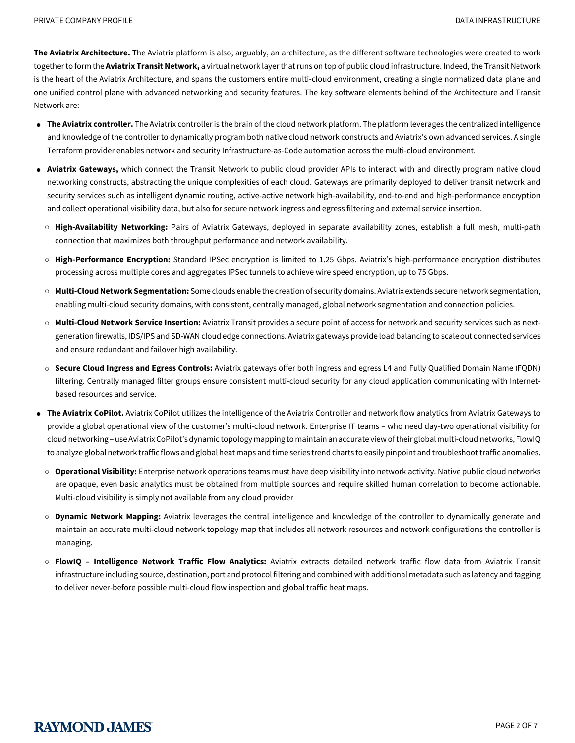**The Aviatrix Architecture.** The Aviatrix platform is also, arguably, an architecture, as the different software technologies were created to work together to form the **Aviatrix Transit Network,** a virtual network layer that runs on top of public cloud infrastructure. Indeed, the Transit Network is the heart of the Aviatrix Architecture, and spans the customers entire multi-cloud environment, creating a single normalized data plane and one unified control plane with advanced networking and security features. The key software elements behind of the Architecture and Transit Network are:

- **The Aviatrix controller.** The Aviatrix controller is the brain of the cloud network platform. The platform leverages the centralized intelligence and knowledge of the controller to dynamically program both native cloud network constructs and Aviatrix's own advanced services. A single Terraform provider enables network and security Infrastructure-as-Code automation across the multi-cloud environment.
- Aviatrix Gateways, which connect the Transit Network to public cloud provider APIs to interact with and directly program native cloud networking constructs, abstracting the unique complexities of each cloud. Gateways are primarily deployed to deliver transit network and security services such as intelligent dynamic routing, active-active network high-availability, end-to-end and high-performance encryption and collect operational visibility data, but also for secure network ingress and egress filtering and external service insertion.
- **High-Availability Networking:** Pairs of Aviatrix Gateways, deployed in separate availability zones, establish a full mesh, multi-path connection that maximizes both throughput performance and network availability.
- **High-Performance Encryption:** Standard IPSec encryption is limited to 1.25 Gbps. Aviatrix's high-performance encryption distributes processing across multiple cores and aggregates IPSec tunnels to achieve wire speed encryption, up to 75 Gbps.
- **Multi-Cloud Network Segmentation:** Some clouds enable the creation of security domains. Aviatrix extends secure network segmentation, enabling multi-cloud security domains, with consistent, centrally managed, global network segmentation and connection policies.
- **Multi-Cloud Network Service Insertion:** Aviatrix Transit provides a secure point of access for network and security services such as nextgeneration firewalls, IDS/IPS and SD-WAN cloud edge connections. Aviatrix gateways provide load balancing to scale out connected services and ensure redundant and failover high availability.
- **Secure Cloud Ingress and Egress Controls:** Aviatrix gateways offer both ingress and egress L4 and Fully Qualified Domain Name (FQDN) filtering. Centrally managed filter groups ensure consistent multi-cloud security for any cloud application communicating with Internetbased resources and service.
- **The Aviatrix CoPilot.** Aviatrix CoPilot utilizes the intelligence of the Aviatrix Controller and network flow analytics from Aviatrix Gateways to provide a global operational view of the customer's multi-cloud network. Enterprise IT teams – who need day-two operational visibility for cloud networking – use Aviatrix CoPilot's dynamic topology mapping to maintain an accurate view of their global multi-cloud networks, FlowIQ to analyze global network traffic flows and global heat maps and time series trend charts to easily pinpoint and troubleshoot traffic anomalies.
	- **Operational Visibility:** Enterprise network operations teams must have deep visibility into network activity. Native public cloud networks are opaque, even basic analytics must be obtained from multiple sources and require skilled human correlation to become actionable. Multi-cloud visibility is simply not available from any cloud provider
	- **Dynamic Network Mapping:** Aviatrix leverages the central intelligence and knowledge of the controller to dynamically generate and maintain an accurate multi-cloud network topology map that includes all network resources and network configurations the controller is managing.
	- **FlowIQ Intelligence Network Traffic Flow Analytics:** Aviatrix extracts detailed network traffic flow data from Aviatrix Transit infrastructure including source, destination, port and protocol filtering and combined with additional metadata such as latency and tagging to deliver never-before possible multi-cloud flow inspection and global traffic heat maps.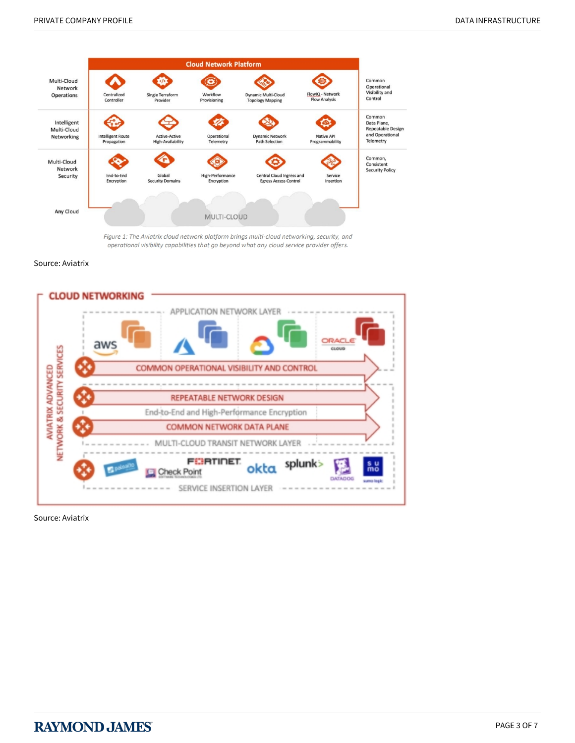

Figure 1: The Aviatrix cloud network platform brings multi-cloud networking, security, and operational visibility capabilities that go beyond what any cloud service provider offers.

Source: Aviatrix



Source: Aviatrix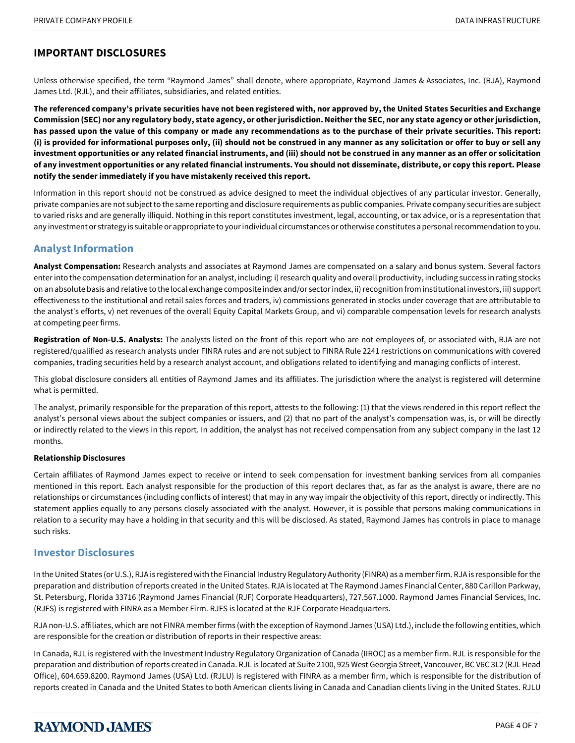## **IMPORTANT DISCLOSURES**

Unless otherwise specified, the term "Raymond James" shall denote, where appropriate, Raymond James & Associates, Inc. (RJA), Raymond James Ltd. (RJL), and their affiliates, subsidiaries, and related entities.

**The referenced company's private securities have not been registered with, nor approved by, the United States Securities and Exchange Commission (SEC) nor any regulatory body, state agency, or other jurisdiction. Neither the SEC, nor any state agency or other jurisdiction, has passed upon the value of this company or made any recommendations as to the purchase of their private securities. This report: (i) is provided for informational purposes only, (ii) should not be construed in any manner as any solicitation or offer to buy or sell any investment opportunities or any related financial instruments, and (iii) should not be construed in any manner as an offer or solicitation of any investment opportunities or any related financial instruments. You should not disseminate, distribute, or copy this report. Please notify the sender immediately if you have mistakenly received this report.**

Information in this report should not be construed as advice designed to meet the individual objectives of any particular investor. Generally, private companies are not subject to the same reporting and disclosure requirements as public companies. Private company securities are subject to varied risks and are generally illiquid. Nothing in this report constitutes investment, legal, accounting, or tax advice, or is a representation that any investment or strategy is suitable or appropriate to your individual circumstances or otherwise constitutes a personal recommendation to you.

### **Analyst Information**

**Analyst Compensation:** Research analysts and associates at Raymond James are compensated on a salary and bonus system. Several factors enter into the compensation determination for an analyst, including: i) research quality and overall productivity, including success in rating stocks on an absolute basis and relative to the local exchange composite index and/or sector index, ii) recognition from institutional investors, iii) support effectiveness to the institutional and retail sales forces and traders, iv) commissions generated in stocks under coverage that are attributable to the analyst's efforts, v) net revenues of the overall Equity Capital Markets Group, and vi) comparable compensation levels for research analysts at competing peer firms.

**Registration of Non-U.S. Analysts:** The analysts listed on the front of this report who are not employees of, or associated with, RJA are not registered/qualified as research analysts under FINRA rules and are not subject to FINRA Rule 2241 restrictions on communications with covered companies, trading securities held by a research analyst account, and obligations related to identifying and managing conflicts of interest.

This global disclosure considers all entities of Raymond James and its affiliates. The jurisdiction where the analyst is registered will determine what is permitted.

The analyst, primarily responsible for the preparation of this report, attests to the following: (1) that the views rendered in this report reflect the analyst's personal views about the subject companies or issuers, and (2) that no part of the analyst's compensation was, is, or will be directly or indirectly related to the views in this report. In addition, the analyst has not received compensation from any subject company in the last 12 months.

#### **Relationship Disclosures**

Certain affiliates of Raymond James expect to receive or intend to seek compensation for investment banking services from all companies mentioned in this report. Each analyst responsible for the production of this report declares that, as far as the analyst is aware, there are no relationships or circumstances (including conflicts of interest) that may in any way impair the objectivity of this report, directly or indirectly. This statement applies equally to any persons closely associated with the analyst. However, it is possible that persons making communications in relation to a security may have a holding in that security and this will be disclosed. As stated, Raymond James has controls in place to manage such risks.

#### **Investor Disclosures**

In the United States (or U.S.), RJA is registered with the Financial Industry Regulatory Authority (FINRA) as a member firm. RJA is responsible for the preparation and distribution of reports created in the United States. RJA is located at The Raymond James Financial Center, 880 Carillon Parkway, St. Petersburg, Florida 33716 (Raymond James Financial (RJF) Corporate Headquarters), 727.567.1000. Raymond James Financial Services, Inc. (RJFS) is registered with FINRA as a Member Firm. RJFS is located at the RJF Corporate Headquarters.

RJA non-U.S. affiliates, which are not FINRA member firms (with the exception of Raymond James (USA) Ltd.), include the following entities, which are responsible for the creation or distribution of reports in their respective areas:

In Canada, RJL is registered with the Investment Industry Regulatory Organization of Canada (IIROC) as a member firm. RJL is responsible for the preparation and distribution of reports created in Canada. RJL is located at Suite 2100, 925 West Georgia Street, Vancouver, BC V6C 3L2 (RJL Head Office), 604.659.8200. Raymond James (USA) Ltd. (RJLU) is registered with FINRA as a member firm, which is responsible for the distribution of reports created in Canada and the United States to both American clients living in Canada and Canadian clients living in the United States. RJLU

# **RAYMOND JAMES**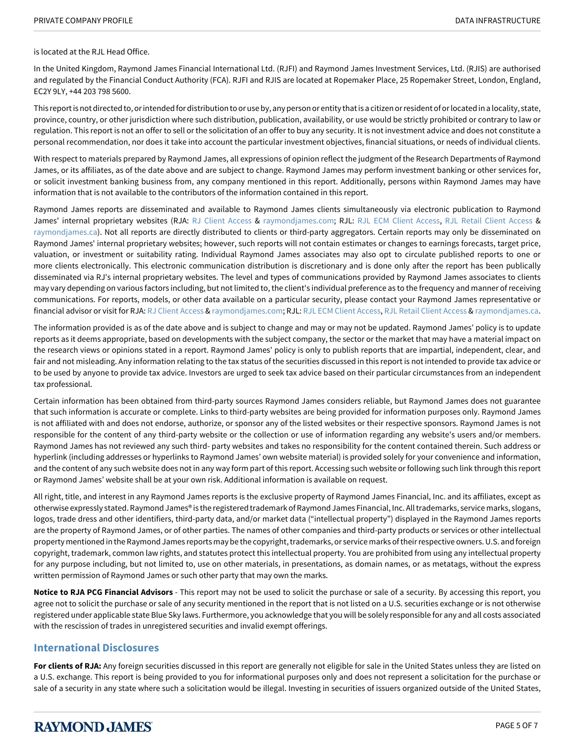is located at the RJL Head Office.

In the United Kingdom, Raymond James Financial International Ltd. (RJFI) and Raymond James Investment Services, Ltd. (RJIS) are authorised and regulated by the Financial Conduct Authority (FCA). RJFI and RJIS are located at Ropemaker Place, 25 Ropemaker Street, London, England, EC2Y 9LY, +44 203 798 5600.

This report is not directed to, or intended for distribution to or use by, any person or entity that is a citizen or resident of or located in a locality, state, province, country, or other jurisdiction where such distribution, publication, availability, or use would be strictly prohibited or contrary to law or regulation. This report is not an offer to sell or the solicitation of an offer to buy any security. It is not investment advice and does not constitute a personal recommendation, nor does it take into account the particular investment objectives, financial situations, or needs of individual clients.

With respect to materials prepared by Raymond James, all expressions of opinion reflect the judgment of the Research Departments of Raymond James, or its affiliates, as of the date above and are subject to change. Raymond James may perform investment banking or other services for, or solicit investment banking business from, any company mentioned in this report. Additionally, persons within Raymond James may have information that is not available to the contributors of the information contained in this report.

Raymond James reports are disseminated and available to Raymond James clients simultaneously via electronic publication to Raymond James' internal proprietary websites (RJA: [RJ Client Access](https://clientaccess.rjf.com/) & [raymondjames.com;](https://www.raymondjames.com/corporations-and-institutions/global-equities-and-investment-banking/equity-research) RJL: [RJL ECM Client Access](https://ecm.raymondjames.ca/), [RJL Retail Client Access](https://client.raymondjames.ca/) & [raymondjames.ca\)](https://www.raymondjames.ca/). Not all reports are directly distributed to clients or third-party aggregators. Certain reports may only be disseminated on Raymond James' internal proprietary websites; however, such reports will not contain estimates or changes to earnings forecasts, target price, valuation, or investment or suitability rating. Individual Raymond James associates may also opt to circulate published reports to one or more clients electronically. This electronic communication distribution is discretionary and is done only after the report has been publically disseminated via RJ's internal proprietary websites. The level and types of communications provided by Raymond James associates to clients may vary depending on various factors including, but not limited to, the client's individual preference as to the frequency and manner of receiving communications. For reports, models, or other data available on a particular security, please contact your Raymond James representative or financial advisor or visit for RJA: [RJ Client Access](https://clientaccess.rjf.com/) & [raymondjames.com](https://www.raymondjames.com/corporations-and-institutions/global-equities-and-investment-banking/equity-research); RJL: [RJL ECM Client Access](https://ecm.raymondjames.ca/), [RJL Retail Client Access](https://client.raymondjames.ca/) & [raymondjames.ca.](https://www.raymondjames.ca/)

The information provided is as of the date above and is subject to change and may or may not be updated. Raymond James' policy is to update reports as it deems appropriate, based on developments with the subject company, the sector or the market that may have a material impact on the research views or opinions stated in a report. Raymond James' policy is only to publish reports that are impartial, independent, clear, and fair and not misleading. Any information relating to the tax status of the securities discussed in this report is not intended to provide tax advice or to be used by anyone to provide tax advice. Investors are urged to seek tax advice based on their particular circumstances from an independent tax professional.

Certain information has been obtained from third-party sources Raymond James considers reliable, but Raymond James does not guarantee that such information is accurate or complete. Links to third-party websites are being provided for information purposes only. Raymond James is not affiliated with and does not endorse, authorize, or sponsor any of the listed websites or their respective sponsors. Raymond James is not responsible for the content of any third-party website or the collection or use of information regarding any website's users and/or members. Raymond James has not reviewed any such third- party websites and takes no responsibility for the content contained therein. Such address or hyperlink (including addresses or hyperlinks to Raymond James' own website material) is provided solely for your convenience and information, and the content of any such website does not in any way form part of this report. Accessing such website or following such link through this report or Raymond James' website shall be at your own risk. Additional information is available on request.

All right, title, and interest in any Raymond James reports is the exclusive property of Raymond James Financial, Inc. and its affiliates, except as otherwise expressly stated. Raymond James® is the registered trademark of Raymond James Financial, Inc. All trademarks, service marks, slogans, logos, trade dress and other identifiers, third-party data, and/or market data ("intellectual property") displayed in the Raymond James reports are the property of Raymond James, or of other parties. The names of other companies and third-party products or services or other intellectual property mentioned in the Raymond James reports may be the copyright, trademarks, or service marks of their respective owners. U.S. and foreign copyright, trademark, common law rights, and statutes protect this intellectual property. You are prohibited from using any intellectual property for any purpose including, but not limited to, use on other materials, in presentations, as domain names, or as metatags, without the express written permission of Raymond James or such other party that may own the marks.

**Notice to RJA PCG Financial Advisors** - This report may not be used to solicit the purchase or sale of a security. By accessing this report, you agree not to solicit the purchase or sale of any security mentioned in the report that is not listed on a U.S. securities exchange or is not otherwise registered under applicable state Blue Sky laws. Furthermore, you acknowledge that you will be solely responsible for any and all costs associated with the rescission of trades in unregistered securities and invalid exempt offerings.

#### **International Disclosures**

For clients of RJA: Any foreign securities discussed in this report are generally not eligible for sale in the United States unless they are listed on a U.S. exchange. This report is being provided to you for informational purposes only and does not represent a solicitation for the purchase or sale of a security in any state where such a solicitation would be illegal. Investing in securities of issuers organized outside of the United States,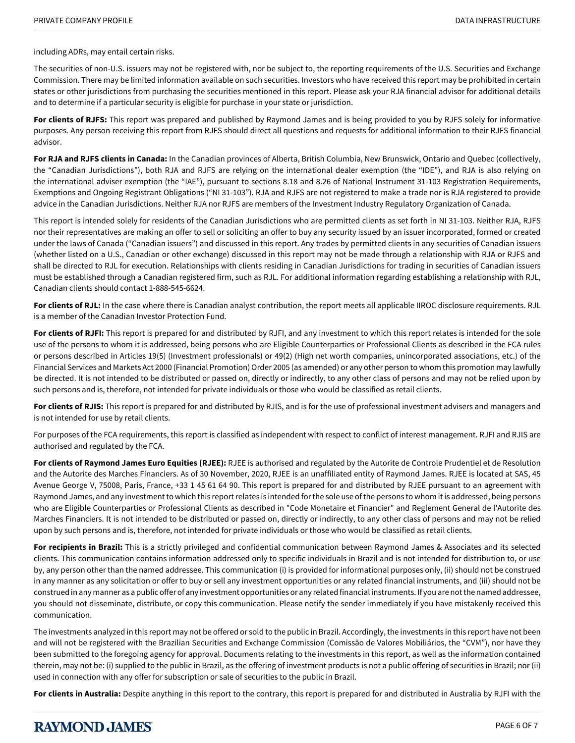including ADRs, may entail certain risks.

The securities of non-U.S. issuers may not be registered with, nor be subject to, the reporting requirements of the U.S. Securities and Exchange Commission. There may be limited information available on such securities. Investors who have received this report may be prohibited in certain states or other jurisdictions from purchasing the securities mentioned in this report. Please ask your RJA financial advisor for additional details and to determine if a particular security is eligible for purchase in your state or jurisdiction.

**For clients of RJFS:** This report was prepared and published by Raymond James and is being provided to you by RJFS solely for informative purposes. Any person receiving this report from RJFS should direct all questions and requests for additional information to their RJFS financial advisor.

**For RJA and RJFS clients in Canada:** In the Canadian provinces of Alberta, British Columbia, New Brunswick, Ontario and Quebec (collectively, the "Canadian Jurisdictions"), both RJA and RJFS are relying on the international dealer exemption (the "IDE"), and RJA is also relying on the international adviser exemption (the "IAE"), pursuant to sections 8.18 and 8.26 of National Instrument 31-103 Registration Requirements, Exemptions and Ongoing Registrant Obligations ("NI 31-103"). RJA and RJFS are not registered to make a trade nor is RJA registered to provide advice in the Canadian Jurisdictions. Neither RJA nor RJFS are members of the Investment Industry Regulatory Organization of Canada.

This report is intended solely for residents of the Canadian Jurisdictions who are permitted clients as set forth in NI 31-103. Neither RJA, RJFS nor their representatives are making an offer to sell or soliciting an offer to buy any security issued by an issuer incorporated, formed or created under the laws of Canada ("Canadian issuers") and discussed in this report. Any trades by permitted clients in any securities of Canadian issuers (whether listed on a U.S., Canadian or other exchange) discussed in this report may not be made through a relationship with RJA or RJFS and shall be directed to RJL for execution. Relationships with clients residing in Canadian Jurisdictions for trading in securities of Canadian issuers must be established through a Canadian registered firm, such as RJL. For additional information regarding establishing a relationship with RJL, Canadian clients should contact 1-888-545-6624.

**For clients of RJL:** In the case where there is Canadian analyst contribution, the report meets all applicable IIROC disclosure requirements. RJL is a member of the Canadian Investor Protection Fund.

**For clients of RJFI:** This report is prepared for and distributed by RJFI, and any investment to which this report relates is intended for the sole use of the persons to whom it is addressed, being persons who are Eligible Counterparties or Professional Clients as described in the FCA rules or persons described in Articles 19(5) (Investment professionals) or 49(2) (High net worth companies, unincorporated associations, etc.) of the Financial Services and Markets Act 2000 (Financial Promotion) Order 2005 (as amended) or any other person to whom this promotion may lawfully be directed. It is not intended to be distributed or passed on, directly or indirectly, to any other class of persons and may not be relied upon by such persons and is, therefore, not intended for private individuals or those who would be classified as retail clients.

**For clients of RJIS:** This report is prepared for and distributed by RJIS, and is for the use of professional investment advisers and managers and is not intended for use by retail clients.

For purposes of the FCA requirements, this report is classified as independent with respect to conflict of interest management. RJFI and RJIS are authorised and regulated by the FCA.

**For clients of Raymond James Euro Equities (RJEE):** RJEE is authorised and regulated by the Autorite de Controle Prudentiel et de Resolution and the Autorite des Marches Financiers. As of 30 November, 2020, RJEE is an unaffiliated entity of Raymond James. RJEE is located at SAS, 45 Avenue George V, 75008, Paris, France, +33 1 45 61 64 90. This report is prepared for and distributed by RJEE pursuant to an agreement with Raymond James, and any investment to which this report relates is intended for the sole use of the persons to whom it is addressed, being persons who are Eligible Counterparties or Professional Clients as described in "Code Monetaire et Financier" and Reglement General de l'Autorite des Marches Financiers. It is not intended to be distributed or passed on, directly or indirectly, to any other class of persons and may not be relied upon by such persons and is, therefore, not intended for private individuals or those who would be classified as retail clients.

**For recipients in Brazil:** This is a strictly privileged and confidential communication between Raymond James & Associates and its selected clients. This communication contains information addressed only to specific individuals in Brazil and is not intended for distribution to, or use by, any person other than the named addressee. This communication (i) is provided for informational purposes only, (ii) should not be construed in any manner as any solicitation or offer to buy or sell any investment opportunities or any related financial instruments, and (iii) should not be construed in any manner as a public offer of any investment opportunities or any related financial instruments. If you are not the named addressee, you should not disseminate, distribute, or copy this communication. Please notify the sender immediately if you have mistakenly received this communication.

The investments analyzed in this report may not be offered or sold to the public in Brazil. Accordingly, the investments in this report have not been and will not be registered with the Brazilian Securities and Exchange Commission (Comissão de Valores Mobiliários, the "CVM"), nor have they been submitted to the foregoing agency for approval. Documents relating to the investments in this report, as well as the information contained therein, may not be: (i) supplied to the public in Brazil, as the offering of investment products is not a public offering of securities in Brazil; nor (ii) used in connection with any offer for subscription or sale of securities to the public in Brazil.

**For clients in Australia:** Despite anything in this report to the contrary, this report is prepared for and distributed in Australia by RJFI with the

# **RAYMOND JAMES**